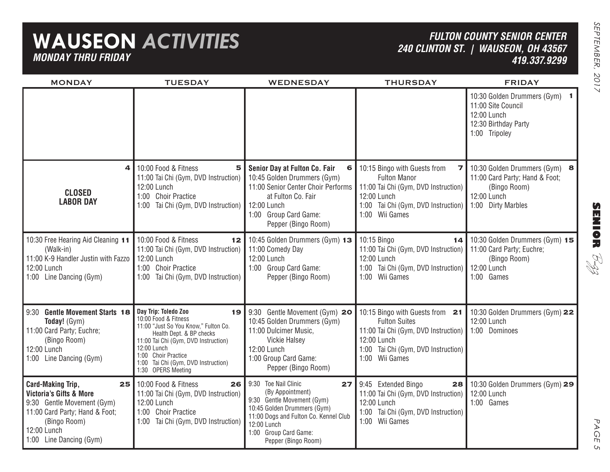## **WAUSEON** *ACTIVITIES MONDAY THRU FRIDAY*

### *FULTON COUNTY SENIOR CENTER 240 CLINTON ST. | WAUSEON, OH 43567 419.337.9299*

| <b>MONDAY</b>                                                                                                                                                                                  | <b>TUESDAY</b>                                                                                                                                                                                                                                                    | <b>WEDNESDAY</b>                                                                                                                                                                                                       | <b>THURSDAY</b>                                                                                                                                                            | <b>FRIDAY</b>                                                                                                        |
|------------------------------------------------------------------------------------------------------------------------------------------------------------------------------------------------|-------------------------------------------------------------------------------------------------------------------------------------------------------------------------------------------------------------------------------------------------------------------|------------------------------------------------------------------------------------------------------------------------------------------------------------------------------------------------------------------------|----------------------------------------------------------------------------------------------------------------------------------------------------------------------------|----------------------------------------------------------------------------------------------------------------------|
|                                                                                                                                                                                                |                                                                                                                                                                                                                                                                   |                                                                                                                                                                                                                        |                                                                                                                                                                            | 10:30 Golden Drummers (Gym) 1<br>11:00 Site Council<br>12:00 Lunch<br>12:30 Birthday Party<br>1:00 Tripoley          |
| 4<br><b>CLOSED</b><br><b>LABOR DAY</b>                                                                                                                                                         | 10:00 Food & Fitness<br>5<br>11:00 Tai Chi (Gym, DVD Instruction)<br>12:00 Lunch<br>1:00 Choir Practice<br>1:00 Tai Chi (Gym, DVD Instruction)                                                                                                                    | Senior Day at Fulton Co. Fair<br>6<br>10:45 Golden Drummers (Gym)<br>11:00 Senior Center Choir Performs<br>at Fulton Co. Fair<br>12:00 Lunch<br>1:00 Group Card Game:<br>Pepper (Bingo Room)                           | 10:15 Bingo with Guests from<br>7 I<br><b>Fulton Manor</b><br>11:00 Tai Chi (Gym, DVD Instruction)<br>12:00 Lunch<br>1:00 Tai Chi (Gym, DVD Instruction)<br>1:00 Wii Games | 10:30 Golden Drummers (Gym) 8<br>11:00 Card Party; Hand & Foot;<br>(Bingo Room)<br>12:00 Lunch<br>1:00 Dirty Marbles |
| 10:30 Free Hearing Aid Cleaning 11<br>(Walk-in)<br>11:00 K-9 Handler Justin with Fazzo<br>12:00 Lunch<br>1:00 Line Dancing (Gym)                                                               | 10:00 Food & Fitness<br>12<br>11:00 Tai Chi (Gym, DVD Instruction)<br>12:00 Lunch<br>1:00 Choir Practice<br>1:00 Tai Chi (Gym, DVD Instruction)                                                                                                                   | 10:45 Golden Drummers (Gym) 13<br>11:00 Comedy Day<br>12:00 Lunch<br>1:00 Group Card Game:<br>Pepper (Bingo Room)                                                                                                      | 10:15 Bingo<br>14<br>11:00 Tai Chi (Gym, DVD Instruction)<br>12:00 Lunch<br>1:00 Tai Chi (Gym, DVD Instruction) 12:00 Lunch<br>1:00 Wii Games                              | 10:30 Golden Drummers (Gym) 15<br>11:00 Card Party; Euchre;<br>(Bingo Room)<br>1:00 Games                            |
| 9:30 Gentle Movement Starts 18<br>Today! (Gym)<br>11:00 Card Party; Euchre;<br>(Bingo Room)<br>12:00 Lunch<br>1:00 Line Dancing (Gym)                                                          | Day Trip: Toledo Zoo<br>19<br>10:00 Food & Fitness<br>11:00 "Just So You Know," Fulton Co.<br>Health Dept. & BP checks<br>11:00 Tai Chi (Gym, DVD Instruction)<br>12:00 Lunch<br>1:00 Choir Practice<br>1:00 Tai Chi (Gym, DVD Instruction)<br>1:30 OPERS Meeting | 9:30 Gentle Movement (Gym) 20<br>10:45 Golden Drummers (Gym)<br>11:00 Dulcimer Music,<br><b>Vickie Halsey</b><br>12:00 Lunch<br>1:00 Group Card Game:<br>Pepper (Bingo Room)                                           | 10:15 Bingo with Guests from 21<br><b>Fulton Suites</b><br>11:00 Tai Chi (Gym, DVD Instruction)<br>12:00 Lunch<br>1:00 Tai Chi (Gym, DVD Instruction)<br>1:00 Wii Games    | 10:30 Golden Drummers (Gym) 22<br>12:00 Lunch<br>1:00 Dominoes                                                       |
| <b>Card-Making Trip,</b><br>25<br><b>Victoria's Gifts &amp; More</b><br>9:30 Gentle Movement (Gym)<br>11:00 Card Party; Hand & Foot;<br>(Bingo Room)<br>12:00 Lunch<br>1:00 Line Dancing (Gym) | 10:00 Food & Fitness<br>26<br>11:00 Tai Chi (Gym, DVD Instruction)<br>12:00 Lunch<br>1:00 Choir Practice<br>1:00 Tai Chi (Gym, DVD Instruction)                                                                                                                   | Toe Nail Clinic<br>9:30<br>27<br>(By Appointment)<br>9:30 Gentle Movement (Gym)<br>10:45 Golden Drummers (Gym)<br>11:00 Dogs and Fulton Co. Kennel Club<br>12:00 Lunch<br>1:00 Group Card Game:<br>Pepper (Bingo Room) | 9:45 Extended Bingo<br>28<br>11:00 Tai Chi (Gym, DVD Instruction)<br>12:00 Lunch<br>1:00 Tai Chi (Gym, DVD Instruction)<br>Wii Games<br>1:00                               | 10:30 Golden Drummers (Gym) 29<br>12:00 Lunch<br>1:00 Games                                                          |

PAGE PAGE 5  $\mathsf{C}_{\mathsf{L}}$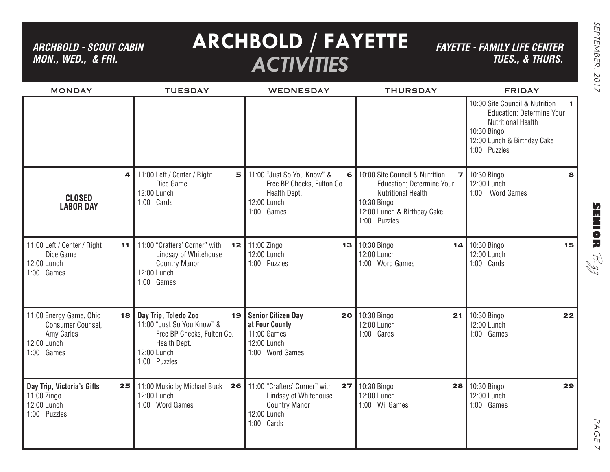*ARCHBOLD - SCOUT CABIN MON., WED., & FRI.*

# **ARCHBOLD / FAYETTE** *ACTIVITIES*

*FAYETTE - FAMILY LIFE CENTER TUES., & THURS.*

| <b>MONDAY</b>                                                                                 | <b>TUESDAY</b>                                                                                                                  | <b>WEDNESDAY</b>                                                                                                  | <b>THURSDAY</b>                                                                                                                                        | <b>FRIDAY</b>                                                                                                                                                                  |
|-----------------------------------------------------------------------------------------------|---------------------------------------------------------------------------------------------------------------------------------|-------------------------------------------------------------------------------------------------------------------|--------------------------------------------------------------------------------------------------------------------------------------------------------|--------------------------------------------------------------------------------------------------------------------------------------------------------------------------------|
|                                                                                               |                                                                                                                                 |                                                                                                                   |                                                                                                                                                        | 10:00 Site Council & Nutrition<br>$\mathbf{1}$<br><b>Education</b> ; Determine Your<br><b>Nutritional Health</b><br>10:30 Bingo<br>12:00 Lunch & Birthday Cake<br>1:00 Puzzles |
| 4<br><b>CLOSED</b><br><b>LABOR DAY</b>                                                        | 11:00 Left / Center / Right<br>Dice Game<br>12:00 Lunch<br>1:00 Cards                                                           | 5 11:00 "Just So You Know" &<br>6<br>Free BP Checks, Fulton Co.<br>Health Dept.<br>12:00 Lunch<br>1:00 Games      | 10:00 Site Council & Nutrition<br>Education; Determine Your<br><b>Nutritional Health</b><br>10:30 Bingo<br>12:00 Lunch & Birthday Cake<br>1:00 Puzzles | $\overline{7}$ 10:30 Bingo<br>8<br>12:00 Lunch<br>1:00 Word Games                                                                                                              |
| 11:00 Left / Center / Right<br>11<br>Dice Game<br>12:00 Lunch<br>1:00 Games                   | 11:00 "Crafters' Corner" with<br>Lindsay of Whitehouse<br><b>Country Manor</b><br>12:00 Lunch<br>1:00 Games                     | 12 11:00 Zingo<br>12:00 Lunch<br>1:00 Puzzles                                                                     | 13 10:30 Bingo<br>12:00 Lunch<br>1:00 Word Games                                                                                                       | 14 10:30 Bingo<br>15<br>12:00 Lunch<br>1:00 Cards                                                                                                                              |
| 11:00 Energy Game, Ohio<br>18<br>Consumer Counsel,<br>Amy Carles<br>12:00 Lunch<br>1:00 Games | Day Trip, Toledo Zoo<br>11:00 "Just So You Know" &<br>Free BP Checks, Fulton Co.<br>Health Dept.<br>12:00 Lunch<br>1:00 Puzzles | 19   Senior Citizen Day<br>20<br>at Four County<br>11:00 Games<br>12:00 Lunch<br>1:00 Word Games                  | 10:30 Bingo<br>21<br>12:00 Lunch<br>1:00 Cards                                                                                                         | 10:30 Bingo<br>22<br>12:00 Lunch<br>1:00 Games                                                                                                                                 |
| Day Trip, Victoria's Gifts<br>25<br>11:00 Zingo<br>12:00 Lunch<br>1:00 Puzzles                | 11:00 Music by Michael Buck<br>26<br>12:00 Lunch<br>1:00 Word Games                                                             | 11:00 "Crafters' Corner" with<br>27<br>Lindsay of Whitehouse<br><b>Country Manor</b><br>12:00 Lunch<br>1:00 Cards | 10:30 Bingo<br>28<br>12:00 Lunch<br>1:00 Wii Games                                                                                                     | 10:30 Bingo<br>29<br>12:00 Lunch<br>1:00 Games                                                                                                                                 |

PAGE PAGE 7  $\vee$ 

**SENIOR** B-zz